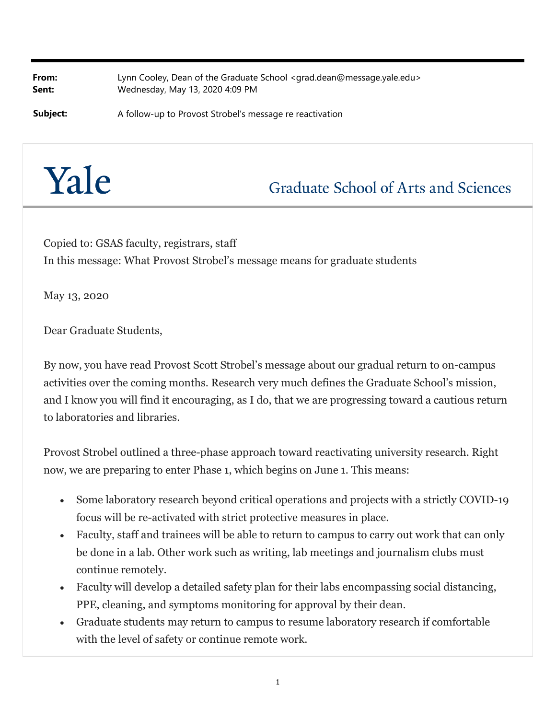**From:** Lynn Cooley, Dean of the Graduate School <grad.dean@message.yale.edu> **Sent:** Wednesday, May 13, 2020 4:09 PM

**Subject:** A follow-up to Provost Strobel's message re reactivation

## Yale

## **Graduate School of Arts and Sciences**

Copied to: GSAS faculty, registrars, staff In this message: What Provost Strobel's message means for graduate students

May 13, 2020

Dear Graduate Students,

By now, you have read Provost Scott Strobel's message about our gradual return to on-campus activities over the coming months. Research very much defines the Graduate School's mission, and I know you will find it encouraging, as I do, that we are progressing toward a cautious return to laboratories and libraries.

Provost Strobel outlined a three-phase approach toward reactivating university research. Right now, we are preparing to enter Phase 1, which begins on June 1. This means:

- Some laboratory research beyond critical operations and projects with a strictly COVID-19 focus will be re-activated with strict protective measures in place.
- Faculty, staff and trainees will be able to return to campus to carry out work that can only be done in a lab. Other work such as writing, lab meetings and journalism clubs must continue remotely.
- Faculty will develop a detailed safety plan for their labs encompassing social distancing, PPE, cleaning, and symptoms monitoring for approval by their dean.
- Graduate students may return to campus to resume laboratory research if comfortable with the level of safety or continue remote work.